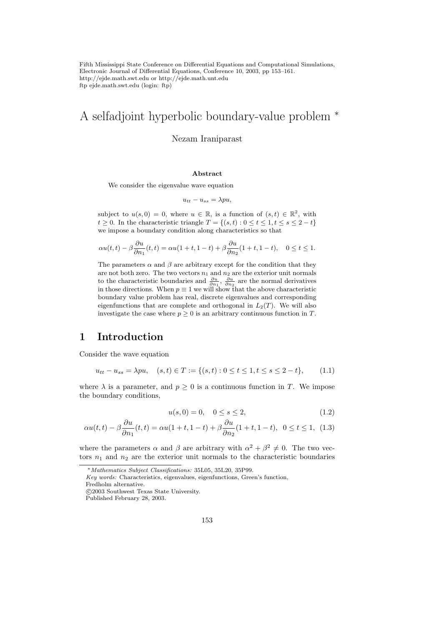Fifth Mississippi State Conference on Differential Equations and Computational Simulations, Electronic Journal of Differential Equations, Conference 10, 2003, pp 153–161. http://ejde.math.swt.edu or http://ejde.math.unt.edu ftp ejde.math.swt.edu (login: ftp)

# A selfadjoint hyperbolic boundary-value problem <sup>∗</sup>

#### Nezam Iraniparast

#### Abstract

We consider the eigenvalue wave equation

$$
u_{tt} - u_{ss} = \lambda p u,
$$

subject to  $u(s,0) = 0$ , where  $u \in \mathbb{R}$ , is a function of  $(s,t) \in \mathbb{R}^2$ , with  $t \geq 0$ . In the characteristic triangle  $T = \{(s, t) : 0 \leq t \leq 1, t \leq s \leq 2 - t\}$ we impose a boundary condition along characteristics so that

$$
\alpha u(t,t) - \beta \frac{\partial u}{\partial n_1}(t,t) = \alpha u(1+t, 1-t) + \beta \frac{\partial u}{\partial n_2}(1+t, 1-t), \quad 0 \le t \le 1.
$$

The parameters  $\alpha$  and  $\beta$  are arbitrary except for the condition that they are not both zero. The two vectors  $n_1$  and  $n_2$  are the exterior unit normals to the characteristic boundaries and  $\frac{\partial u}{\partial n_1}$ ,  $\frac{\partial u}{\partial n_2}$  are the normal derivatives in those directions. When  $p \equiv 1$  we will show that the above characteristic boundary value problem has real, discrete eigenvalues and corresponding eigenfunctions that are complete and orthogonal in  $L_2(T)$ . We will also investigate the case where  $p \geq 0$  is an arbitrary continuous function in T.

### 1 Introduction

Consider the wave equation

$$
u_{tt} - u_{ss} = \lambda p u, \quad (s, t) \in T := \{(s, t) : 0 \le t \le 1, t \le s \le 2 - t\},\tag{1.1}
$$

where  $\lambda$  is a parameter, and  $p \geq 0$  is a continuous function in T. We impose the boundary conditions,

$$
u(s,0) = 0, \quad 0 \le s \le 2,\tag{1.2}
$$

$$
\alpha u(t,t) - \beta \frac{\partial u}{\partial n_1}(t,t) = \alpha u(1+t, 1-t) + \beta \frac{\partial u}{\partial n_2}(1+t, 1-t), \ \ 0 \le t \le 1, \ \ (1.3)
$$

where the parameters  $\alpha$  and  $\beta$  are arbitrary with  $\alpha^2 + \beta^2 \neq 0$ . The two vectors  $n_1$  and  $n_2$  are the exterior unit normals to the characteristic boundaries

<sup>∗</sup>Mathematics Subject Classifications: 35L05, 35L20, 35P99.

Key words: Characteristics, eigenvalues, eigenfunctions, Green's function,

Fredholm alternative.

c 2003 Southwest Texas State University.

Published February 28, 2003.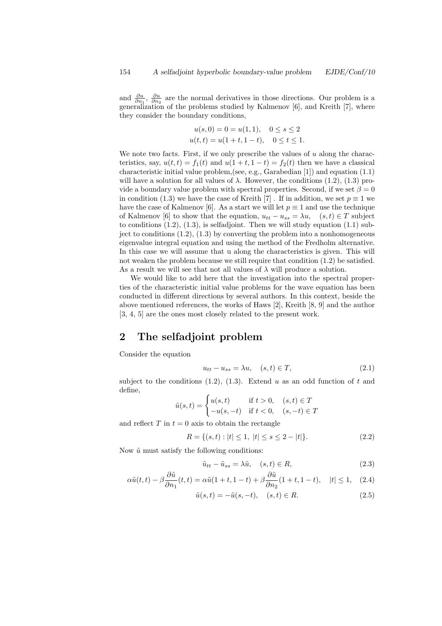and  $\frac{\partial u}{\partial n_1}$ ,  $\frac{\partial u}{\partial n_2}$  are the normal derivatives in those directions. Our problem is a generalization of the problems studied by Kalmenov [6], and Kreith [7], where they consider the boundary conditions,

$$
u(s,0) = 0 = u(1,1), \quad 0 \le s \le 2
$$
  

$$
u(t,t) = u(1+t, 1-t), \quad 0 \le t \le 1.
$$

We note two facts. First, if we only prescribe the values of  $u$  along the characteristics, say,  $u(t, t) = f_1(t)$  and  $u(1 + t, 1 - t) = f_2(t)$  then we have a classical characteristic initial value problem,(see, e.g., Garabedian [1]) and equation (1.1) will have a solution for all values of  $\lambda$ . However, the conditions (1.2), (1.3) provide a boundary value problem with spectral properties. Second, if we set  $\beta = 0$ in condition (1.3) we have the case of Kreith [7]. If in addition, we set  $p \equiv 1$  we have the case of Kalmenov [6]. As a start we will let  $p \equiv 1$  and use the technique of Kalmenov [6] to show that the equation,  $u_{tt} - u_{ss} = \lambda u$ ,  $(s, t) \in T$  subject to conditions  $(1.2)$ ,  $(1.3)$ , is selfadjoint. Then we will study equation  $(1.1)$  subject to conditions  $(1.2)$ ,  $(1.3)$  by converting the problem into a nonhomogeneous eigenvalue integral equation and using the method of the Fredholm alternative. In this case we will assume that u along the characteristics is given. This will not weaken the problem because we still require that condition (1.2) be satisfied. As a result we will see that not all values of  $\lambda$  will produce a solution.

We would like to add here that the investigation into the spectral properties of the characteristic initial value problems for the wave equation has been conducted in different directions by several authors. In this context, beside the above mentioned references, the works of Haws [2], Kreith [8, 9] and the author [3, 4, 5] are the ones most closely related to the present work.

### 2 The selfadjoint problem

Consider the equation

$$
u_{tt} - u_{ss} = \lambda u, \quad (s, t) \in T,
$$
\n
$$
(2.1)
$$

subject to the conditions  $(1.2)$ ,  $(1.3)$ . Extend u as an odd function of t and define,

$$
\tilde{u}(s,t) = \begin{cases} u(s,t) & \text{if } t > 0, \quad (s,t) \in T \\ -u(s,-t) & \text{if } t < 0, \quad (s,-t) \in T \end{cases}
$$

and reflect T in  $t = 0$  axis to obtain the rectangle

$$
R = \{(s, t) : |t| \le 1, \ |t| \le s \le 2 - |t|\}. \tag{2.2}
$$

Now  $\tilde{u}$  must satisfy the following conditions:

$$
\tilde{u}_{tt} - \tilde{u}_{ss} = \lambda \tilde{u}, \quad (s, t) \in R,\tag{2.3}
$$

$$
\alpha \tilde{u}(t,t) - \beta \frac{\partial \tilde{u}}{\partial n_1}(t,t) = \alpha \tilde{u}(1+t, 1-t) + \beta \frac{\partial \tilde{u}}{\partial n_2}(1+t, 1-t), \quad |t| \le 1, \quad (2.4)
$$

$$
\tilde{u}(s,t) = -\tilde{u}(s,-t), \quad (s,t) \in R. \tag{2.5}
$$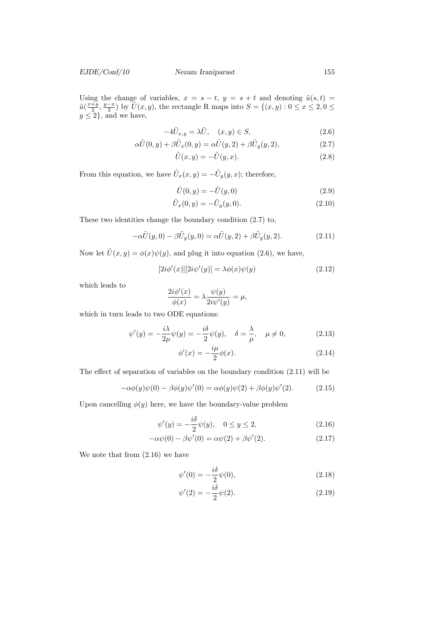Using the change of variables,  $x = s - t$ ,  $y = s + t$  and denoting  $\tilde{u}(s,t)$  $\tilde{u}(\frac{x+y}{2}, \frac{y-x}{2})$  by  $\tilde{U}(x, y)$ , the rectangle R maps into  $S = \{(x, y) : 0 \le x \le 2, 0 \le x \le 2\}$  $y \leq 2$ , and we have,

$$
-4\tilde{U}_{x,y} = \lambda \tilde{U}, \quad (x,y) \in S,
$$
\n
$$
(2.6)
$$

$$
\alpha \tilde{U}(0, y) + \beta \tilde{U}_x(0, y) = \alpha \tilde{U}(y, 2) + \beta \tilde{U}_y(y, 2), \qquad (2.7)
$$

$$
\tilde{U}(x,y) = -\tilde{U}(y,x). \tag{2.8}
$$

From this equation, we have  $\tilde{U}_x(x,y) = -\tilde{U}_y(y,x)$ ; therefore,

$$
\tilde{U}(0, y) = -\tilde{U}(y, 0) \tag{2.9}
$$

$$
\tilde{U}_x(0, y) = -\tilde{U}_y(y, 0). \tag{2.10}
$$

These two identities change the boundary condition (2.7) to,

$$
-\alpha \tilde{U}(y,0) - \beta \tilde{U}_y(y,0) = \alpha \tilde{U}(y,2) + \beta \tilde{U}_y(y,2). \tag{2.11}
$$

Now let  $\tilde{U}(x, y) = \phi(x)\psi(y)$ , and plug it into equation (2.6), we have,

$$
[2i\phi'(x)][2i\psi'(y)] = \lambda\phi(x)\psi(y)
$$
\n(2.12)

which leads to

$$
\frac{2i\phi'(x)}{\phi(x)} = \lambda \frac{\psi(y)}{2i\psi'(y)} = \mu,
$$

which in turn leads to two ODE equations:

$$
\psi'(y) = -\frac{i\lambda}{2\mu}\psi(y) = -\frac{i\delta}{2}\psi(y), \quad \delta = \frac{\lambda}{\mu}, \quad \mu \neq 0,
$$
\n(2.13)

$$
\phi'(x) = -\frac{i\mu}{2}\phi(x). \tag{2.14}
$$

The effect of separation of variables on the boundary condition (2.11) will be

$$
-\alpha\phi(y)\psi(0) - \beta\phi(y)\psi'(0) = \alpha\phi(y)\psi(2) + \beta\phi(y)\psi'(2). \tag{2.15}
$$

Upon cancelling  $\phi(y)$  here, we have the boundary-value problem

$$
\psi'(y) = -\frac{i\delta}{2}\psi(y), \quad 0 \le y \le 2,
$$
\n(2.16)

$$
-\alpha \psi(0) - \beta \psi'(0) = \alpha \psi(2) + \beta \psi'(2).
$$
 (2.17)

We note that from (2.16) we have

$$
\psi'(0) = -\frac{i\delta}{2}\psi(0),\tag{2.18}
$$

$$
\psi'(2) = -\frac{i\delta}{2}\psi(2). \tag{2.19}
$$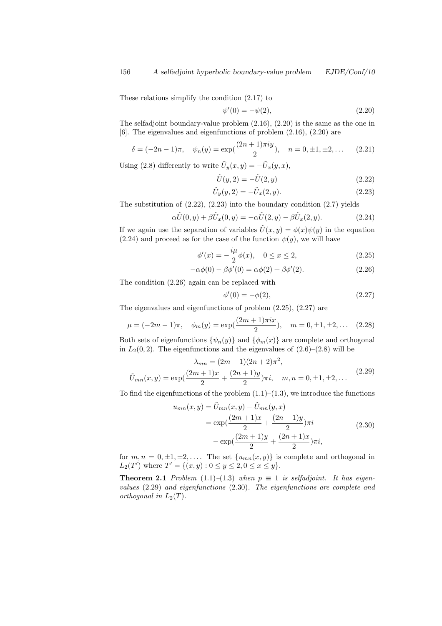These relations simplify the condition (2.17) to

$$
\psi'(0) = -\psi(2),\tag{2.20}
$$

The selfadjoint boundary-value problem (2.16), (2.20) is the same as the one in [6]. The eigenvalues and eigenfunctions of problem (2.16), (2.20) are

$$
\delta = (-2n-1)\pi, \quad \psi_n(y) = \exp(\frac{(2n+1)\pi iy}{2}), \quad n = 0, \pm 1, \pm 2, \dots \quad (2.21)
$$

Using (2.8) differently to write  $\tilde{U}_y(x,y) = -\tilde{U}_x(y,x)$ ,

$$
\tilde{U}(y,2) = -\tilde{U}(2,y) \tag{2.22}
$$

$$
\tilde{U}_y(y,2) = -\tilde{U}_x(2,y). \tag{2.23}
$$

The substitution of  $(2.22)$ ,  $(2.23)$  into the boundary condition  $(2.7)$  yields

$$
\alpha \tilde{U}(0, y) + \beta \tilde{U}_x(0, y) = -\alpha \tilde{U}(2, y) - \beta \tilde{U}_x(2, y). \tag{2.24}
$$

If we again use the separation of variables  $\tilde{U}(x, y) = \phi(x)\psi(y)$  in the equation  $(2.24)$  and proceed as for the case of the function  $\psi(y)$ , we will have

$$
\phi'(x) = -\frac{i\mu}{2}\phi(x), \quad 0 \le x \le 2,\tag{2.25}
$$

$$
-\alpha\phi(0) - \beta\phi'(0) = \alpha\phi(2) + \beta\phi'(2). \qquad (2.26)
$$

The condition (2.26) again can be replaced with

$$
\phi'(0) = -\phi(2),\tag{2.27}
$$

The eigenvalues and eigenfunctions of problem (2.25), (2.27) are

$$
\mu = (-2m - 1)\pi
$$
,  $\phi_m(y) = \exp(\frac{(2m + 1)\pi ix}{2})$ ,  $m = 0, \pm 1, \pm 2,...$  (2.28)

Both sets of eigenfunctions  $\{\psi_n(y)\}\$ and  $\{\phi_m(x)\}\$ are complete and orthogonal in  $L_2(0, 2)$ . The eigenfunctions and the eigenvalues of  $(2.6)$ – $(2.8)$  will be

$$
\lambda_{mn} = (2m+1)(2n+2)\pi^2,
$$
  
\n
$$
\tilde{U}_{mn}(x,y) = \exp(\frac{(2m+1)x}{2} + \frac{(2n+1)y}{2})\pi i, \quad m, n = 0, \pm 1, \pm 2, ...
$$
\n(2.29)

To find the eigenfunctions of the problem  $(1.1)$ – $(1.3)$ , we introduce the functions

$$
u_{mn}(x,y) = \tilde{U}_{mn}(x,y) - \tilde{U}_{mn}(y,x)
$$
  
= 
$$
\exp\left(\frac{(2m+1)x}{2} + \frac{(2n+1)y}{2}\right)\pi i
$$
  
- 
$$
\exp\left(\frac{(2m+1)y}{2} + \frac{(2n+1)x}{2}\right)\pi i,
$$
 (2.30)

for  $m, n = 0, \pm 1, \pm 2, \ldots$  The set  $\{u_{mn}(x, y)\}\$ is complete and orthogonal in  $L_2(T')$  where  $T' = \{(x, y) : 0 \le y \le 2, 0 \le x \le y\}.$ 

**Theorem 2.1** Problem (1.1)–(1.3) when  $p \equiv 1$  is selfadjoint. It has eigenvalues (2.29) and eigenfunctions (2.30). The eigenfunctions are complete and orthogonal in  $L_2(T)$ .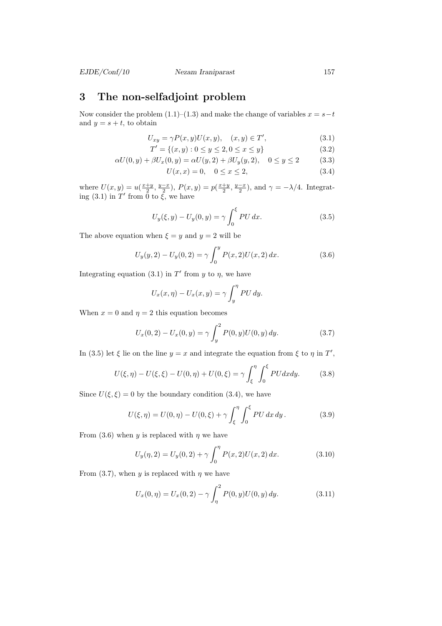#### EJDE/Conf/10 Nezam Iraniparast 157

## 3 The non-selfadjoint problem

Now consider the problem  $(1.1)–(1.3)$  and make the change of variables  $x = s-t$ and  $y = s + t$ , to obtain

$$
U_{xy} = \gamma P(x, y) U(x, y), \quad (x, y) \in T', \tag{3.1}
$$

$$
T' = \{(x, y) : 0 \le y \le 2, 0 \le x \le y\}
$$
\n(3.2)

$$
\alpha U(0, y) + \beta U_x(0, y) = \alpha U(y, 2) + \beta U_y(y, 2), \quad 0 \le y \le 2 \tag{3.3}
$$

$$
U(x, x) = 0, \quad 0 \le x \le 2,
$$
\n(3.4)

where  $U(x,y) = u\left(\frac{x+y}{2}, \frac{y-x}{2}\right), P(x,y) = p\left(\frac{x+y}{2}, \frac{y-x}{2}\right)$ , and  $\gamma = -\lambda/4$ . Integrating (3.1) in T' from  $\overline{0}$  to  $\overline{\xi}$ , we have

$$
U_y(\xi, y) - U_y(0, y) = \gamma \int_0^{\xi} PU \, dx. \tag{3.5}
$$

The above equation when  $\xi = y$  and  $y = 2$  will be

$$
U_y(y,2) - U_y(0,2) = \gamma \int_0^y P(x,2)U(x,2) dx.
$$
 (3.6)

Integrating equation (3.1) in T' from y to  $\eta$ , we have

$$
U_x(x,\eta) - U_x(x,y) = \gamma \int_y^{\eta} PU \, dy.
$$

When  $x = 0$  and  $\eta = 2$  this equation becomes

$$
U_x(0,2) - U_x(0,y) = \gamma \int_y^2 P(0,y)U(0,y) \, dy. \tag{3.7}
$$

In (3.5) let  $\xi$  lie on the line  $y = x$  and integrate the equation from  $\xi$  to  $\eta$  in  $T'$ ,

$$
U(\xi, \eta) - U(\xi, \xi) - U(0, \eta) + U(0, \xi) = \gamma \int_{\xi}^{\eta} \int_{0}^{\xi} PU dx dy.
$$
 (3.8)

Since  $U(\xi, \xi) = 0$  by the boundary condition (3.4), we have

$$
U(\xi, \eta) = U(0, \eta) - U(0, \xi) + \gamma \int_{\xi}^{\eta} \int_{0}^{\xi} PU \, dx \, dy. \tag{3.9}
$$

From (3.6) when y is replaced with  $\eta$  we have

$$
U_y(\eta, 2) = U_y(0, 2) + \gamma \int_0^{\eta} P(x, 2) U(x, 2) dx.
$$
 (3.10)

From (3.7), when y is replaced with  $\eta$  we have

$$
U_x(0, \eta) = U_x(0, 2) - \gamma \int_{\eta}^{2} P(0, y) U(0, y) dy.
$$
 (3.11)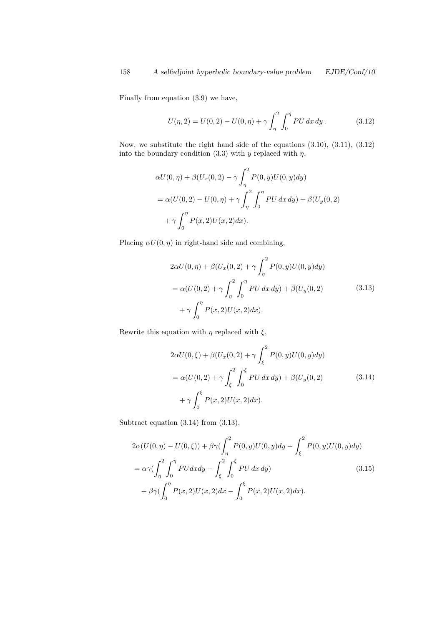Finally from equation (3.9) we have,

$$
U(\eta, 2) = U(0, 2) - U(0, \eta) + \gamma \int_{\eta}^{2} \int_{0}^{\eta} PU \, dx \, dy. \tag{3.12}
$$

Now, we substitute the right hand side of the equations (3.10), (3.11), (3.12) into the boundary condition (3.3) with y replaced with  $\eta$ ,

$$
\alpha U(0, \eta) + \beta (U_x(0, 2) - \gamma \int_{\eta}^{2} P(0, y) U(0, y) dy)
$$
  
=  $\alpha (U(0, 2) - U(0, \eta) + \gamma \int_{\eta}^{2} \int_{0}^{\eta} PU \, dx \, dy) + \beta (U_y(0, 2) + \gamma \int_{0}^{\eta} P(x, 2) U(x, 2) dx).$ 

Placing  $\alpha U(0, \eta)$  in right-hand side and combining,

$$
2\alpha U(0, \eta) + \beta (U_x(0, 2) + \gamma \int_{\eta}^{2} P(0, y)U(0, y)dy)
$$
  
=  $\alpha (U(0, 2) + \gamma \int_{\eta}^{2} \int_{0}^{\eta} PU \, dx \, dy) + \beta (U_y(0, 2)$  (3.13)  
+  $\gamma \int_{0}^{\eta} P(x, 2)U(x, 2)dx).$ 

Rewrite this equation with  $\eta$  replaced with  $\xi$ ,

$$
2\alpha U(0,\xi) + \beta (U_x(0,2) + \gamma \int_{\xi}^{2} P(0,y)U(0,y)dy)
$$
  
=  $\alpha (U(0,2) + \gamma \int_{\xi}^{2} \int_{0}^{\xi} PU \,dx \,dy) + \beta (U_y(0,2)$  (3.14)  
+  $\gamma \int_{0}^{\xi} P(x,2)U(x,2)dx).$ 

Subtract equation (3.14) from (3.13),

$$
2\alpha(U(0,\eta) - U(0,\xi)) + \beta\gamma(\int_{\eta}^{2} P(0,y)U(0,y)dy - \int_{\xi}^{2} P(0,y)U(0,y)dy)
$$
  
=  $\alpha\gamma(\int_{\eta}^{2} \int_{0}^{\eta} PUdxdy - \int_{\xi}^{2} \int_{0}^{\xi} PUdxdy)$  (3.15)  
+  $\beta\gamma(\int_{0}^{\eta} P(x,2)U(x,2)dx - \int_{0}^{\xi} P(x,2)U(x,2)dx).$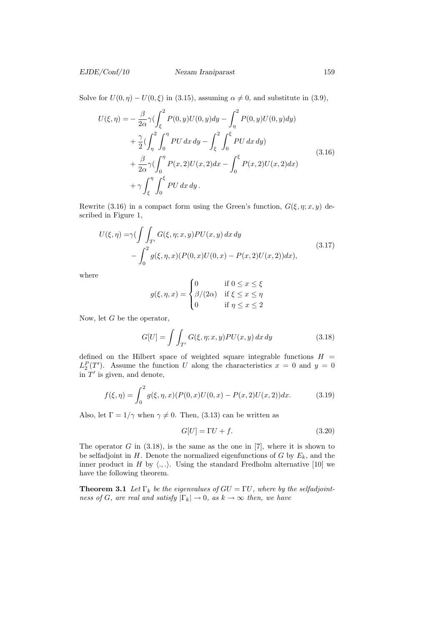Solve for  $U(0, \eta) - U(0, \xi)$  in (3.15), assuming  $\alpha \neq 0$ , and substitute in (3.9),

$$
U(\xi, \eta) = -\frac{\beta}{2\alpha} \gamma \left( \int_{\xi}^{2} P(0, y) U(0, y) dy - \int_{\eta}^{2} P(0, y) U(0, y) dy \right) + \frac{\gamma}{2} \left( \int_{\eta}^{2} \int_{0}^{\eta} PU \, dx \, dy - \int_{\xi}^{2} \int_{0}^{\xi} PU \, dx \, dy \right) + \frac{\beta}{2\alpha} \gamma \left( \int_{0}^{\eta} P(x, 2) U(x, 2) dx - \int_{0}^{\xi} P(x, 2) U(x, 2) dx \right) + \gamma \int_{\xi}^{\eta} \int_{0}^{\xi} PU \, dx \, dy.
$$
\n(3.16)

Rewrite (3.16) in a compact form using the Green's function,  $G(\xi, \eta; x, y)$  described in Figure 1,

$$
U(\xi, \eta) = \gamma \left( \int_{T'} G(\xi, \eta; x, y) PU(x, y) dx dy - \int_0^2 g(\xi, \eta, x) (P(0, x) U(0, x) - P(x, 2) U(x, 2)) dx \right),
$$
\n(3.17)

where

$$
g(\xi, \eta, x) = \begin{cases} 0 & \text{if } 0 \le x \le \xi \\ \beta/(2\alpha) & \text{if } \xi \le x \le \eta \\ 0 & \text{if } \eta \le x \le 2 \end{cases}
$$

Now, let G be the operator,

$$
G[U] = \int \int_{T'} G(\xi, \eta; x, y) PU(x, y) dx dy \qquad (3.18)
$$

defined on the Hilbert space of weighted square integrable functions  $H =$  $L_2^P(T')$ . Assume the function U along the characteristics  $x = 0$  and  $y = 0$ in  $T'$  is given, and denote,

$$
f(\xi, \eta) = \int_0^2 g(\xi, \eta, x) (P(0, x)U(0, x) - P(x, 2)U(x, 2)) dx.
$$
 (3.19)

Also, let  $\Gamma = 1/\gamma$  when  $\gamma \neq 0$ . Then, (3.13) can be written as

$$
G[U] = \Gamma U + f. \tag{3.20}
$$

The operator  $G$  in  $(3.18)$ , is the same as the one in  $[7]$ , where it is shown to be selfadjoint in  $H$ . Denote the normalized eigenfunctions of  $G$  by  $E_k$ , and the inner product in H by  $\langle ., . \rangle$ . Using the standard Fredholm alternative [10] we have the following theorem.

**Theorem 3.1** Let  $\Gamma_k$  be the eigenvalues of  $GU = \Gamma U$ , where by the selfadjointness of G, are real and satisfy  $|\Gamma_k| \to 0$ , as  $k \to \infty$  then, we have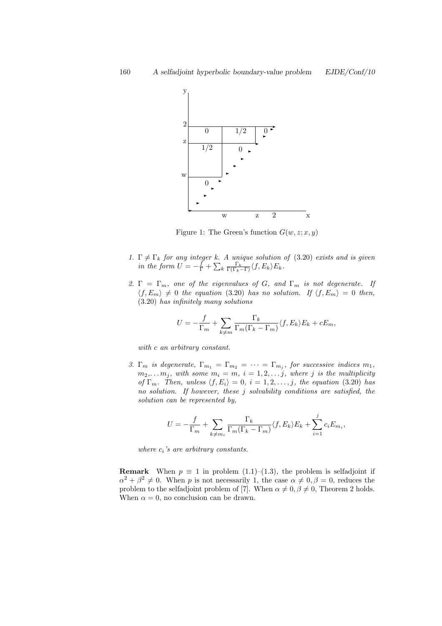

Figure 1: The Green's function  $G(w, z; x, y)$ 

- 1.  $\Gamma \neq \Gamma_k$  for any integer k. A unique solution of (3.20) exists and is given in the form  $U = -\frac{f}{\Gamma} + \sum_k \frac{\Gamma_k}{\Gamma(\Gamma_k - \Gamma)} \langle f, E_k \rangle E_k$ .
- 2.  $\Gamma = \Gamma_m$ , one of the eigenvalues of G, and  $\Gamma_m$  is not degenerate. If  $\langle f, E_m \rangle \neq 0$  the equation (3.20) has no solution. If  $\langle f, E_m \rangle = 0$  then, (3.20) has infinitely many solutions

$$
U = -\frac{f}{\Gamma_m} + \sum_{k \neq m} \frac{\Gamma_k}{\Gamma_m(\Gamma_k - \Gamma_m)} \langle f, E_k \rangle E_k + cE_m,
$$

with c an arbitrary constant.

3.  $\Gamma_m$  is degenerate,  $\Gamma_{m_1} = \Gamma_{m_2} = \cdots = \Gamma_{m_j}$ , for successive indices  $m_1$ ,  $m_2,... m_j$ , with some  $m_i = m$ ,  $i = 1, 2,... j$ , where j is the multiplicity of  $\Gamma_m$ . Then, unless  $\langle f, E_i \rangle = 0$ ,  $i = 1, 2, \ldots, j$ , the equation (3.20) has no solution. If however, these j solvability conditions are satisfied, the solution can be represented by,

$$
U = -\frac{f}{\Gamma_m} + \sum_{k \neq m_i} \frac{\Gamma_k}{\Gamma_m(\Gamma_k - \Gamma_m)} \langle f, E_k \rangle E_k + \sum_{i=1}^j c_i E_{m_i},
$$

where  $c_i$ 's are arbitrary constants.

**Remark** When  $p \equiv 1$  in problem (1.1)–(1.3), the problem is selfadjoint if  $\alpha^2 + \beta^2 \neq 0$ . When p is not necessarily 1, the case  $\alpha \neq 0, \beta = 0$ , reduces the problem to the selfadjoint problem of [7]. When  $\alpha \neq 0, \beta \neq 0$ , Theorem 2 holds. When  $\alpha = 0$ , no conclusion can be drawn.